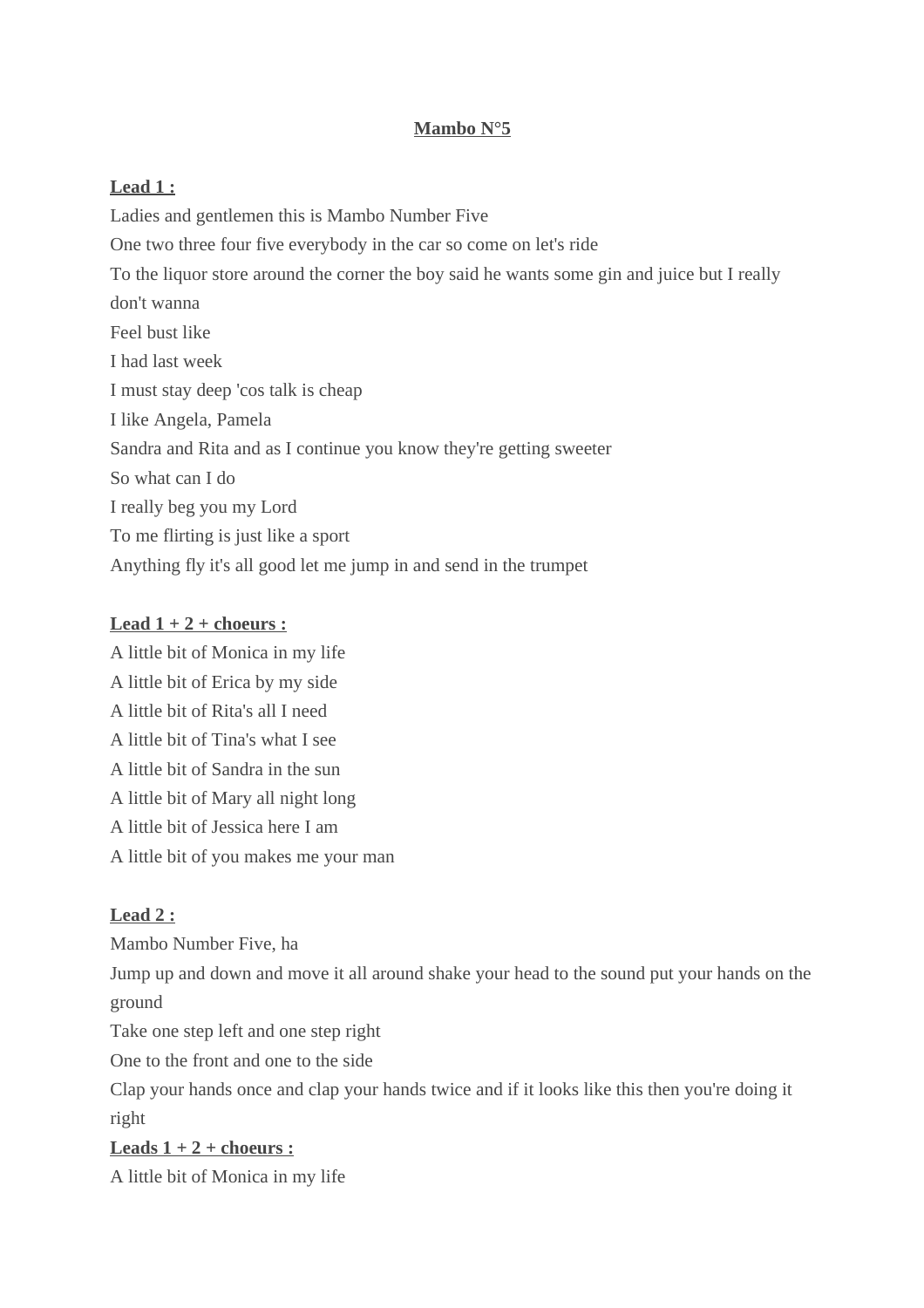## **Mambo N°5**

## **Lead 1 :**

Ladies and gentlemen this is Mambo Number Five One two three four five everybody in the car so come on let's ride To the liquor store around the corner the boy said he wants some gin and juice but I really don't wanna Feel bust like I had last week I must stay deep 'cos talk is cheap I like Angela, Pamela Sandra and Rita and as I continue you know they're getting sweeter So what can I do I really beg you my Lord To me flirting is just like a sport Anything fly it's all good let me jump in and send in the trumpet

### **Lead 1 + 2 + choeurs :**

A little bit of Monica in my life A little bit of Erica by my side A little bit of Rita's all I need A little bit of Tina's what I see A little bit of Sandra in the sun A little bit of Mary all night long A little bit of Jessica here I am A little bit of you makes me your man

## **Lead 2 :**

Mambo Number Five, ha Jump up and down and move it all around shake your head to the sound put your hands on the ground Take one step left and one step right One to the front and one to the side

Clap your hands once and clap your hands twice and if it looks like this then you're doing it right

# **Leads 1 + 2 + choeurs :**

A little bit of Monica in my life